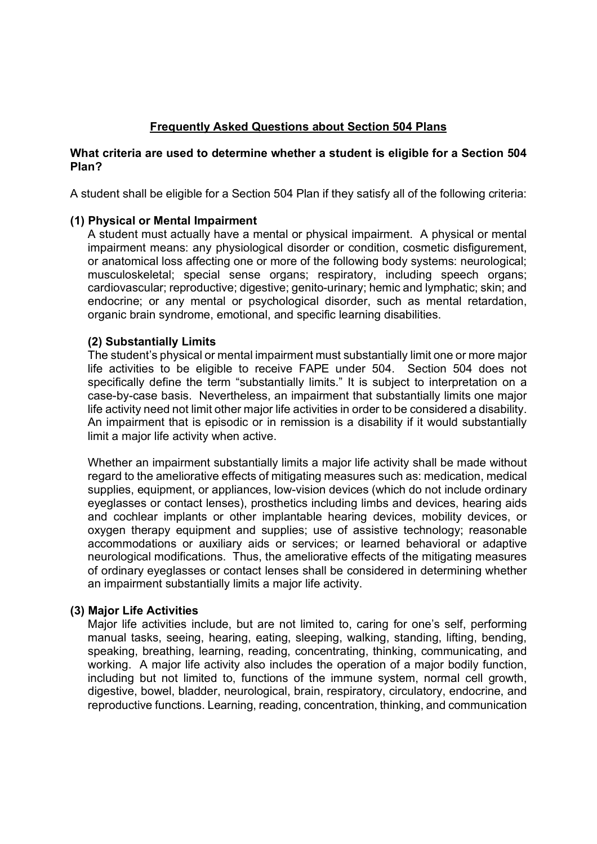# **Frequently Asked Questions about Section 504 Plans**

## **What criteria are used to determine whether a student is eligible for a Section 504 Plan?**

A student shall be eligible for a Section 504 Plan if they satisfy all of the following criteria:

### **(1) Physical or Mental Impairment**

A student must actually have a mental or physical impairment. A physical or mental impairment means: any physiological disorder or condition, cosmetic disfigurement, or anatomical loss affecting one or more of the following body systems: neurological; musculoskeletal; special sense organs; respiratory, including speech organs; cardiovascular; reproductive; digestive; genito-urinary; hemic and lymphatic; skin; and endocrine; or any mental or psychological disorder, such as mental retardation, organic brain syndrome, emotional, and specific learning disabilities.

### **(2) Substantially Limits**

The student's physical or mental impairment must substantially limit one or more major life activities to be eligible to receive FAPE under 504. Section 504 does not specifically define the term "substantially limits." It is subject to interpretation on a case-by-case basis. Nevertheless, an impairment that substantially limits one major life activity need not limit other major life activities in order to be considered a disability. An impairment that is episodic or in remission is a disability if it would substantially limit a major life activity when active.

Whether an impairment substantially limits a major life activity shall be made without regard to the ameliorative effects of mitigating measures such as: medication, medical supplies, equipment, or appliances, low-vision devices (which do not include ordinary eyeglasses or contact lenses), prosthetics including limbs and devices, hearing aids and cochlear implants or other implantable hearing devices, mobility devices, or oxygen therapy equipment and supplies; use of assistive technology; reasonable accommodations or auxiliary aids or services; or learned behavioral or adaptive neurological modifications. Thus, the ameliorative effects of the mitigating measures of ordinary eyeglasses or contact lenses shall be considered in determining whether an impairment substantially limits a major life activity.

#### **(3) Major Life Activities**

Major life activities include, but are not limited to, caring for one's self, performing manual tasks, seeing, hearing, eating, sleeping, walking, standing, lifting, bending, speaking, breathing, learning, reading, concentrating, thinking, communicating, and working. A major life activity also includes the operation of a major bodily function, including but not limited to, functions of the immune system, normal cell growth, digestive, bowel, bladder, neurological, brain, respiratory, circulatory, endocrine, and reproductive functions. Learning, reading, concentration, thinking, and communication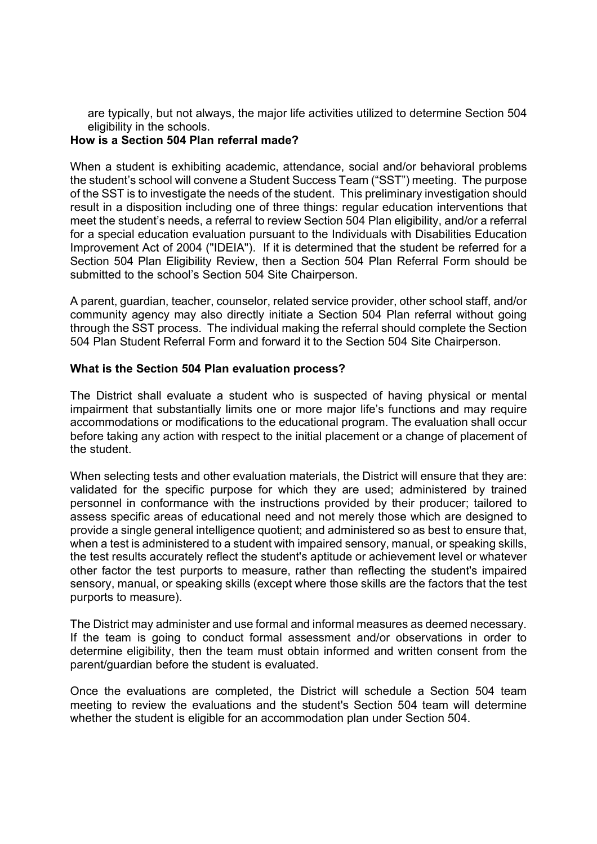are typically, but not always, the major life activities utilized to determine Section 504 eligibility in the schools.

# **How is a Section 504 Plan referral made?**

When a student is exhibiting academic, attendance, social and/or behavioral problems the student's school will convene a Student Success Team ("SST") meeting. The purpose of the SST is to investigate the needs of the student. This preliminary investigation should result in a disposition including one of three things: regular education interventions that meet the student's needs, a referral to review Section 504 Plan eligibility, and/or a referral for a special education evaluation pursuant to the Individuals with Disabilities Education Improvement Act of 2004 ("IDEIA"). If it is determined that the student be referred for a Section 504 Plan Eligibility Review, then a Section 504 Plan Referral Form should be submitted to the school's Section 504 Site Chairperson.

A parent, guardian, teacher, counselor, related service provider, other school staff, and/or community agency may also directly initiate a Section 504 Plan referral without going through the SST process. The individual making the referral should complete the Section 504 Plan Student Referral Form and forward it to the Section 504 Site Chairperson.

### **What is the Section 504 Plan evaluation process?**

The District shall evaluate a student who is suspected of having physical or mental impairment that substantially limits one or more major life's functions and may require accommodations or modifications to the educational program. The evaluation shall occur before taking any action with respect to the initial placement or a change of placement of the student.

When selecting tests and other evaluation materials, the District will ensure that they are: validated for the specific purpose for which they are used; administered by trained personnel in conformance with the instructions provided by their producer; tailored to assess specific areas of educational need and not merely those which are designed to provide a single general intelligence quotient; and administered so as best to ensure that, when a test is administered to a student with impaired sensory, manual, or speaking skills, the test results accurately reflect the student's aptitude or achievement level or whatever other factor the test purports to measure, rather than reflecting the student's impaired sensory, manual, or speaking skills (except where those skills are the factors that the test purports to measure).

The District may administer and use formal and informal measures as deemed necessary. If the team is going to conduct formal assessment and/or observations in order to determine eligibility, then the team must obtain informed and written consent from the parent/guardian before the student is evaluated.

Once the evaluations are completed, the District will schedule a Section 504 team meeting to review the evaluations and the student's Section 504 team will determine whether the student is eligible for an accommodation plan under Section 504.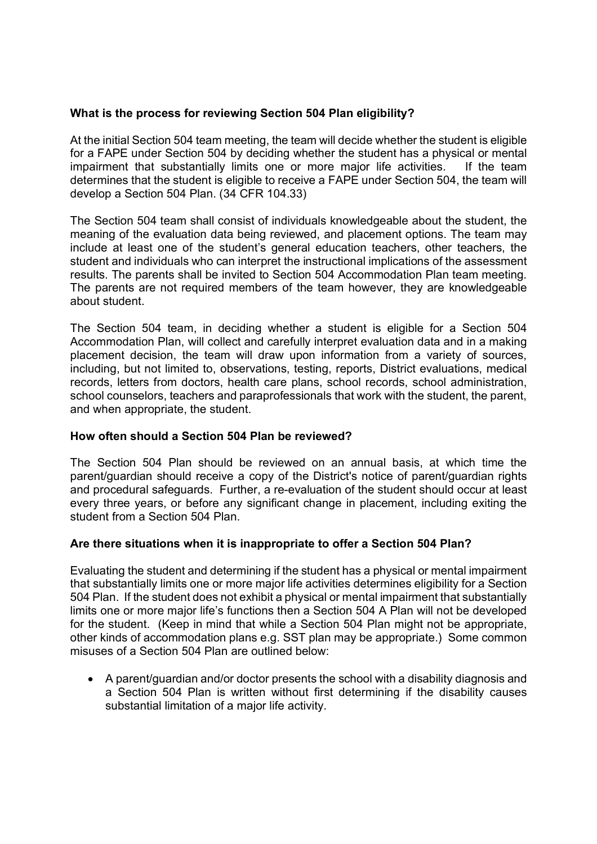## **What is the process for reviewing Section 504 Plan eligibility?**

At the initial Section 504 team meeting, the team will decide whether the student is eligible for a FAPE under Section 504 by deciding whether the student has a physical or mental impairment that substantially limits one or more major life activities. If the team determines that the student is eligible to receive a FAPE under Section 504, the team will develop a Section 504 Plan. (34 CFR 104.33)

The Section 504 team shall consist of individuals knowledgeable about the student, the meaning of the evaluation data being reviewed, and placement options. The team may include at least one of the student's general education teachers, other teachers, the student and individuals who can interpret the instructional implications of the assessment results. The parents shall be invited to Section 504 Accommodation Plan team meeting. The parents are not required members of the team however, they are knowledgeable about student.

The Section 504 team, in deciding whether a student is eligible for a Section 504 Accommodation Plan, will collect and carefully interpret evaluation data and in a making placement decision, the team will draw upon information from a variety of sources, including, but not limited to, observations, testing, reports, District evaluations, medical records, letters from doctors, health care plans, school records, school administration, school counselors, teachers and paraprofessionals that work with the student, the parent, and when appropriate, the student.

#### **How often should a Section 504 Plan be reviewed?**

The Section 504 Plan should be reviewed on an annual basis, at which time the parent/guardian should receive a copy of the District's notice of parent/guardian rights and procedural safeguards. Further, a re-evaluation of the student should occur at least every three years, or before any significant change in placement, including exiting the student from a Section 504 Plan.

# **Are there situations when it is inappropriate to offer a Section 504 Plan?**

Evaluating the student and determining if the student has a physical or mental impairment that substantially limits one or more major life activities determines eligibility for a Section 504 Plan. If the student does not exhibit a physical or mental impairment that substantially limits one or more major life's functions then a Section 504 A Plan will not be developed for the student. (Keep in mind that while a Section 504 Plan might not be appropriate, other kinds of accommodation plans e.g. SST plan may be appropriate.) Some common misuses of a Section 504 Plan are outlined below:

• A parent/guardian and/or doctor presents the school with a disability diagnosis and a Section 504 Plan is written without first determining if the disability causes substantial limitation of a major life activity.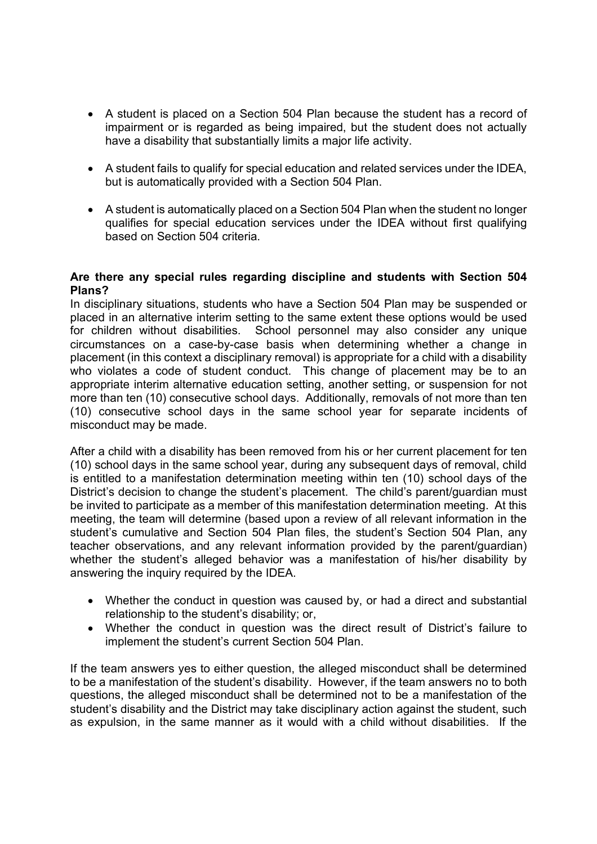- A student is placed on a Section 504 Plan because the student has a record of impairment or is regarded as being impaired, but the student does not actually have a disability that substantially limits a major life activity.
- A student fails to qualify for special education and related services under the IDEA, but is automatically provided with a Section 504 Plan.
- A student is automatically placed on a Section 504 Plan when the student no longer qualifies for special education services under the IDEA without first qualifying based on Section 504 criteria.

#### **Are there any special rules regarding discipline and students with Section 504 Plans?**

In disciplinary situations, students who have a Section 504 Plan may be suspended or placed in an alternative interim setting to the same extent these options would be used for children without disabilities. School personnel may also consider any unique circumstances on a case-by-case basis when determining whether a change in placement (in this context a disciplinary removal) is appropriate for a child with a disability who violates a code of student conduct. This change of placement may be to an appropriate interim alternative education setting, another setting, or suspension for not more than ten (10) consecutive school days. Additionally, removals of not more than ten (10) consecutive school days in the same school year for separate incidents of misconduct may be made.

After a child with a disability has been removed from his or her current placement for ten (10) school days in the same school year, during any subsequent days of removal, child is entitled to a manifestation determination meeting within ten (10) school days of the District's decision to change the student's placement. The child's parent/guardian must be invited to participate as a member of this manifestation determination meeting. At this meeting, the team will determine (based upon a review of all relevant information in the student's cumulative and Section 504 Plan files, the student's Section 504 Plan, any teacher observations, and any relevant information provided by the parent/guardian) whether the student's alleged behavior was a manifestation of his/her disability by answering the inquiry required by the IDEA.

- Whether the conduct in question was caused by, or had a direct and substantial relationship to the student's disability; or,
- Whether the conduct in question was the direct result of District's failure to implement the student's current Section 504 Plan.

If the team answers yes to either question, the alleged misconduct shall be determined to be a manifestation of the student's disability. However, if the team answers no to both questions, the alleged misconduct shall be determined not to be a manifestation of the student's disability and the District may take disciplinary action against the student, such as expulsion, in the same manner as it would with a child without disabilities. If the